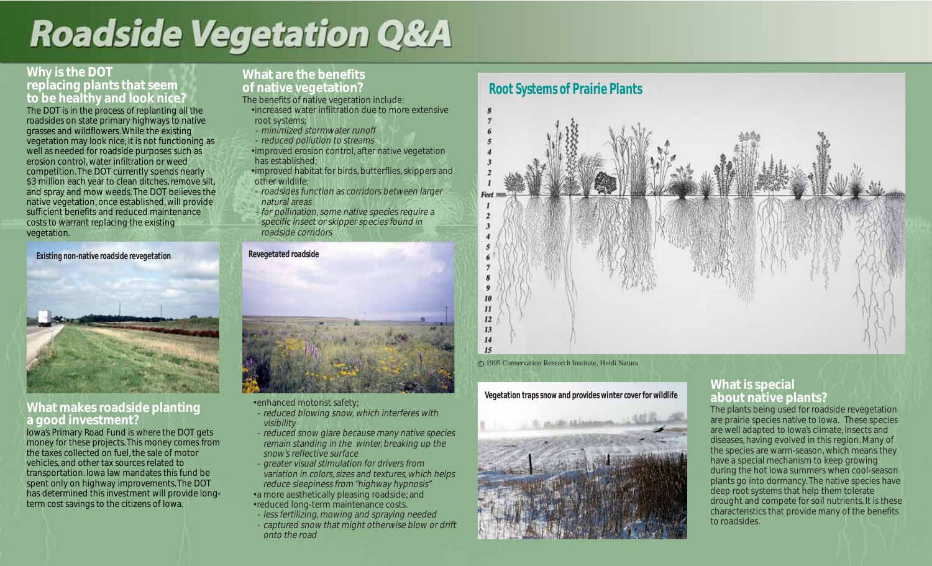# **Roadside Vegetation Q&A**

## **Why is the DOT replacing plants that seem to be healthy and look nice?**

The DOT is in the process of replanting all the roadsides on state primary highways to native grasses and wildflowers. While the existing vegetation may look nice, it is not functioning as well as needed for roadside purposes such as erosion control, water infiltration or weed competition. The DOT currently spends nearly \$3 million each year to clean ditches, remove silt, and spray and mow weeds. The DOT believes the native vegetation, once established, will provide sufficient benefits and reduced maintenance costs to warrant replacing the existing vegetation.

**Existing non-native roadside revegetation**



# **What makes roadside planting a good investment?**

Iowa's Primary Road Fund is where the DOT gets money for these projects. This money comes from the taxes collected on fuel, the sale of motor vehicles, and other tax sources related to transportation. Iowa law mandates this fund be spent only on highway improvements. The DOT has determined this investment will provide longterm cost savings to the citizens of Iowa.

# **What are the benefits of native vegetation?**

- The benefits of native vegetation include:
- increased water infiltration due to more extensive root systems;
- minimized stormwater runoff
- reduced pollution to streams
- improved erosion control, after native vegetation has established;
- improved habitat for birds, butterflies, skippers and other wildlife;
- roadsides function as corridors between larger natural areas
- for pollination, some native species require a specific insect or skipper species found in roadside corridors

#### **Revegetated roadside**



- enhanced motorist safety;
- reduced blowing snow, which interferes with visibility
- reduced snow glare because many native species remain standing in the winter, breaking up the snow's reflective surface
- greater visual stimulation for drivers from variation in colors, sizes and textures, which helps reduce sleepiness from "highway hypnosis"
- a more aesthetically pleasing roadside; and
- reduced long-term maintenance costs.
- less fertilizing, mowing and spraying needed - captured snow that might otherwise blow or drift onto the road



#### c 1995 Conservation Research Institute, Heidi Natura

#### **Vegetation traps snow and provides winter cover for wildlife**



## **What is special about native plants?**

The plants being used for roadside revegetation are prairie species native to Iowa. These species are well adapted to Iowa's climate, insects and diseases, having evolved in this region. Many of the species are warm-season, which means they have a special mechanism to keep growing during the hot Iowa summers when cool-season plants go into dormancy. The native species have deep root systems that help them tolerate drought and compete for soil nutrients. It is these characteristics that provide many of the benefits to roadsides.